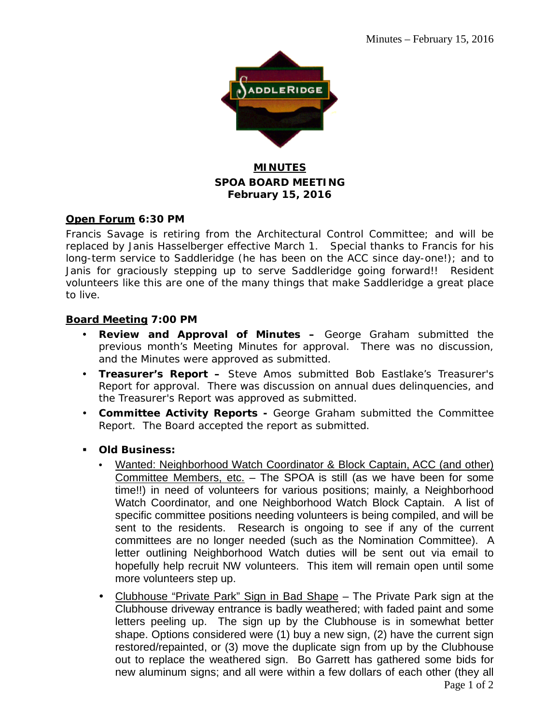

### **MINUTES SPOA BOARD MEETING February 15, 2016**

### **Open Forum 6:30 PM**

Francis Savage is retiring from the Architectural Control Committee; and will be replaced by Janis Hasselberger effective March 1. Special thanks to Francis for his long-term service to Saddleridge (he has been on the ACC since day-one!); and to Janis for graciously stepping up to serve Saddleridge going forward!! Resident volunteers like this are one of the many things that make Saddleridge a great place to live.

### **Board Meeting 7:00 PM**

- **Review and Approval of Minutes –** George Graham submitted the previous month's Meeting Minutes for approval. There was no discussion, and the Minutes were approved as submitted.
- **Treasurer's Report –** Steve Amos submitted Bob Eastlake's Treasurer's Report for approval. There was discussion on annual dues delinquencies, and the Treasurer's Report was approved as submitted.
- **Committee Activity Reports -** George Graham submitted the Committee Report. The Board accepted the report as submitted.
- **Old Business:**
	- Wanted: Neighborhood Watch Coordinator & Block Captain, ACC (and other) Committee Members, etc. - The SPOA is still (as we have been for some time!!) in need of volunteers for various positions; mainly, a Neighborhood Watch Coordinator, and one Neighborhood Watch Block Captain. A list of specific committee positions needing volunteers is being compiled, and will be sent to the residents. Research is ongoing to see if any of the current committees are no longer needed (such as the Nomination Committee). A letter outlining Neighborhood Watch duties will be sent out via email to hopefully help recruit NW volunteers. This item will remain open until some more volunteers step up.
	- Clubhouse "Private Park" Sign in Bad Shape The Private Park sign at the Clubhouse driveway entrance is badly weathered; with faded paint and some letters peeling up. The sign up by the Clubhouse is in somewhat better shape. Options considered were (1) buy a new sign, (2) have the current sign restored/repainted, or (3) move the duplicate sign from up by the Clubhouse out to replace the weathered sign. Bo Garrett has gathered some bids for new aluminum signs; and all were within a few dollars of each other (they all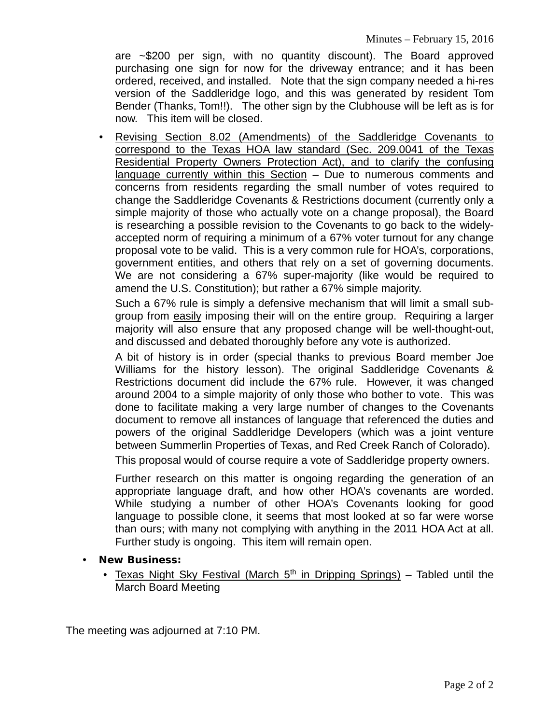are ~\$200 per sign, with no quantity discount). The Board approved purchasing one sign for now for the driveway entrance; and it has been ordered, received, and installed. Note that the sign company needed a hi-res version of the Saddleridge logo, and this was generated by resident Tom Bender (Thanks, Tom!!). The other sign by the Clubhouse will be left as is for now. This item will be closed.

 Revising Section 8.02 (Amendments) of the Saddleridge Covenants to correspond to the Texas HOA law standard (Sec. 209.0041 of the Texas Residential Property Owners Protection Act), and to clarify the confusing language currently within this Section – Due to numerous comments and concerns from residents regarding the small number of votes required to change the Saddleridge Covenants & Restrictions document (currently only a simple majority of those who actually vote on a change proposal), the Board is researching a possible revision to the Covenants to go back to the widelyaccepted norm of requiring a minimum of a 67% voter turnout for any change proposal vote to be valid. This is a very common rule for HOA's, corporations, government entities, and others that rely on a set of governing documents. We are not considering a 67% super-majority (like would be required to amend the U.S. Constitution); but rather a 67% simple majority.

Such a 67% rule is simply a defensive mechanism that will limit a small subgroup from easily imposing their will on the entire group. Requiring a larger majority will also ensure that any proposed change will be well-thought-out, and discussed and debated thoroughly before any vote is authorized.

A bit of history is in order (special thanks to previous Board member Joe Williams for the history lesson). The original Saddleridge Covenants & Restrictions document did include the 67% rule. However, it was changed around 2004 to a simple majority of only those who bother to vote. This was done to facilitate making a very large number of changes to the Covenants document to remove all instances of language that referenced the duties and powers of the original Saddleridge Developers (which was a joint venture between Summerlin Properties of Texas, and Red Creek Ranch of Colorado).

This proposal would of course require a vote of Saddleridge property owners.

Further research on this matter is ongoing regarding the generation of an appropriate language draft, and how other HOA's covenants are worded. While studying a number of other HOA's Covenants looking for good language to possible clone, it seems that most looked at so far were worse than ours; with many not complying with anything in the 2011 HOA Act at all. Further study is ongoing. This item will remain open.

- **New Business:**
	- Texas Night Sky Festival (March  $5<sup>th</sup>$  in Dripping Springs) Tabled until the March Board Meeting

The meeting was adjourned at 7:10 PM.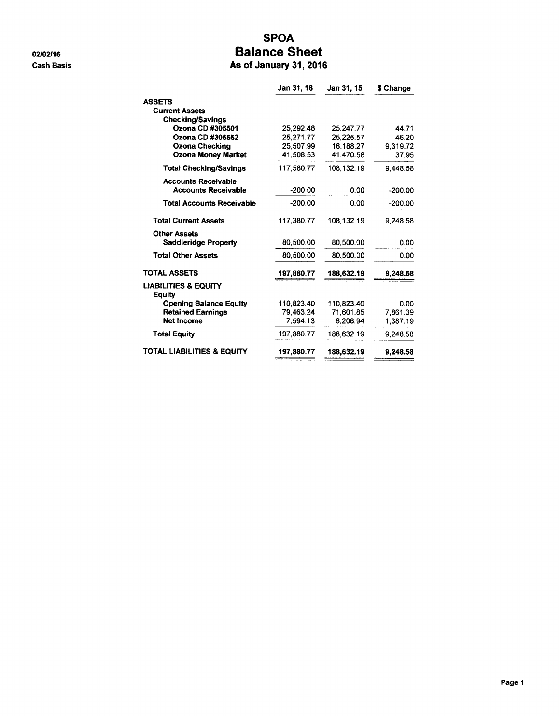02/02/16 **Cash Basis** 

## **SPOA Balance Sheet**

As of January 31, 2016

|                                           | Jan 31, 16 | Jan 31, 15 | \$ Change |
|-------------------------------------------|------------|------------|-----------|
| <b>ASSETS</b>                             |            |            |           |
| <b>Current Assets</b>                     |            |            |           |
| <b>Checking/Savings</b>                   |            |            |           |
| Ozona CD #305501                          | 25.292.48  | 25.247.77  | 44.71     |
| Ozona CD #305552                          | 25.271.77  | 25,225.57  | 46.20     |
| <b>Ozona Checking</b>                     | 25,507.99  | 16,188.27  | 9.319.72  |
| <b>Ozona Money Market</b>                 | 41,508.53  | 41.470.58  | 37.95     |
| <b>Total Checking/Savings</b>             | 117,580.77 | 108.132.19 | 9.448.58  |
| <b>Accounts Receivable</b>                |            |            |           |
| <b>Accounts Receivable</b>                | $-200.00$  | 0.00       | $-200.00$ |
| <b>Total Accounts Receivable</b>          | $-200.00$  | 0.00       | $-200.00$ |
| <b>Total Current Assets</b>               | 117,380.77 | 108.132.19 | 9.248.58  |
| <b>Other Assets</b>                       |            |            |           |
| <b>Saddleridge Property</b>               | 80,500.00  | 80,500.00  | 0.00      |
| <b>Total Other Assets</b>                 | 80,500.00  | 80,500.00  | 0.00      |
| TOTAL ASSETS                              | 197,880.77 | 188,632.19 | 9,248.58  |
| <b>LIABILITIES &amp; EQUITY</b><br>Equity |            |            |           |
| <b>Opening Balance Equity</b>             | 110.823.40 | 110.823.40 | 0.00      |
| <b>Retained Earnings</b>                  | 79.463.24  | 71,601.85  | 7,861.39  |
| <b>Net Income</b>                         | 7,594.13   | 6.206.94   | 1,387.19  |
| <b>Total Equity</b>                       | 197,880.77 | 188,632.19 | 9,248.58  |
| TOTAL LIABILITIES & EQUITY                | 197,880.77 | 188,632.19 | 9.248.58  |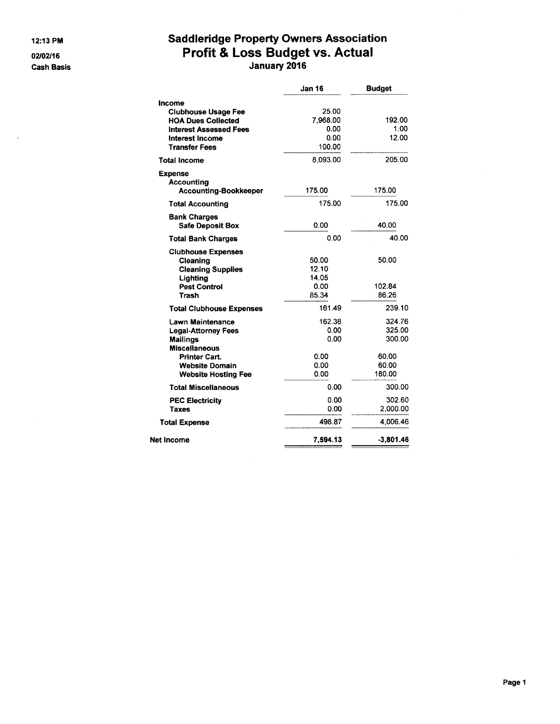12:13 PM

02/02/16

**Cash Basis** 

# Saddleridge Property Owners Association<br>Profit & Loss Budget vs. Actual<br>January 2016

|                                                                                                                                                                          | <b>Jan 16</b>                                           | <b>Budget</b>                                          |
|--------------------------------------------------------------------------------------------------------------------------------------------------------------------------|---------------------------------------------------------|--------------------------------------------------------|
| Income<br><b>Clubhouse Usage Fee</b><br><b>HOA Dues Collected</b><br><b>Interest Assessed Fees</b><br>Interest Income<br><b>Transfer Fees</b><br><b>Total Income</b>     | 25.00<br>7.968.00<br>0.00<br>0.00<br>100.00<br>8,093.00 | 192.00<br>1.00<br>12.00<br>205.00                      |
| <b>Expense</b><br><b>Accounting</b><br><b>Accounting-Bookkeeper</b>                                                                                                      | 175.00                                                  | 175.00                                                 |
| <b>Total Accounting</b>                                                                                                                                                  | 175.00                                                  | 175.00                                                 |
| <b>Bank Charges</b><br><b>Safe Deposit Box</b>                                                                                                                           | 0.00                                                    | 40.00                                                  |
| <b>Total Bank Charges</b>                                                                                                                                                | 0.00                                                    | 40.00                                                  |
| <b>Clubhouse Expenses</b><br>Cleaning<br><b>Cleaning Supplies</b><br>Lighting<br><b>Pest Control</b><br>Trash                                                            | 50.00<br>12.10<br>14.05<br>0.00<br>85.34                | 50.00<br>102.84<br>86.26                               |
| <b>Total Clubhouse Expenses</b>                                                                                                                                          | 161.49                                                  | 239.10                                                 |
| Lawn Maintenance<br><b>Legal-Attorney Fees</b><br><b>Mailings</b><br><b>Miscellaneous</b><br><b>Printer Cart.</b><br><b>Website Domain</b><br><b>Website Hosting Fee</b> | 162.38<br>0.00<br>0.00<br>0.00<br>0.00<br>0.00          | 324.76<br>325.00<br>300.00<br>60.00<br>60.00<br>180.00 |
| <b>Total Miscellaneous</b>                                                                                                                                               | 0.00                                                    | 300.00                                                 |
| <b>PEC Electricity</b><br>Taxes                                                                                                                                          | 0.00<br>0.00                                            | 302.60<br>2,000.00                                     |
| <b>Total Expense</b>                                                                                                                                                     | 498.87                                                  | 4,006.46                                               |
| Net Income                                                                                                                                                               | 7,594.13                                                | $-3,801.46$                                            |